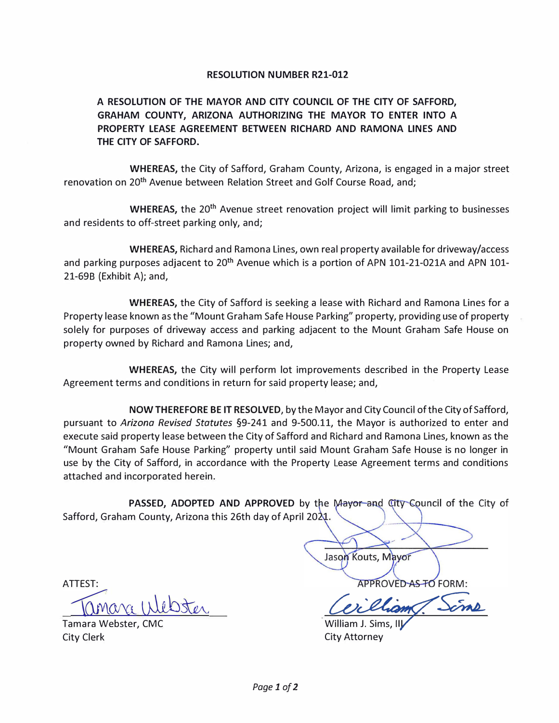## **RESOLUTION NUMBER R21-012**

**A RESOLUTION OF THE MAYOR AND CITY COUNCIL OF THE CITY OF SAFFORD, GRAHAM COUNTY, ARIZONA AUTHORIZING THE MAYOR TO ENTER INTO A PROPERTY LEASE AGREEMENT BETWEEN RICHARD AND RAMONA LINES AND THE CITY OF SAFFORD.** 

**WHEREAS,** the City of Safford, Graham County, Arizona, is engaged in a major street renovation on 20**th** Avenue between Relation Street and Golf Course Road, and;

**WHEREAS,** the 20**th** Avenue street renovation project will limit parking to businesses and residents to off-street parking only, and;

**WHEREAS,** Richard and Ramona Lines, own real property available for driveway/access and parking purposes adjacent to 20**th** Avenue which is a portion of APN 101-21-021A and APN 101- 21-69B (Exhibit A); and,

**WHEREAS,** the City of Safford is seeking a lease with Richard and Ramona Lines for a Property lease known as the "Mount Graham Safe House Parking" property, providing use of property solely for purposes of driveway access and parking adjacent to the Mount Graham Safe House on property owned by Richard and Ramona Lines; and,

**WHEREAS,** the City will perform lot improvements described in the Property Lease Agreement terms and conditions in return for said property lease; and,

**NOW THEREFORE BE IT RESOLVED,** by the Mayor and City Council of the City of Safford, pursuant to *Arizona Revised Statutes* §9-241 and 9-500.11, the Mayor is authorized to enter and execute said property lease between the City of Safford and Richard and Ramona Lines, known as the "Mount Graham Safe House Parking" property until said Mount Graham Safe House is no longer in use by the City of Safford, in accordance with the Property Lease Agreement terms and conditions attached and incorporated herein.

**PASSED, ADOPTED AND APPROVED** by the Mayor and City Council of the City of Safford, Graham County, Arizona this 26th day of April 2021.

ATTEST:

Tanara Webster

Tamara Webster, CMC City Clerk

Jason Kouts, Mayor **APPROVED AS TO FORM:** 

William J. Sims, Ill City Attorney